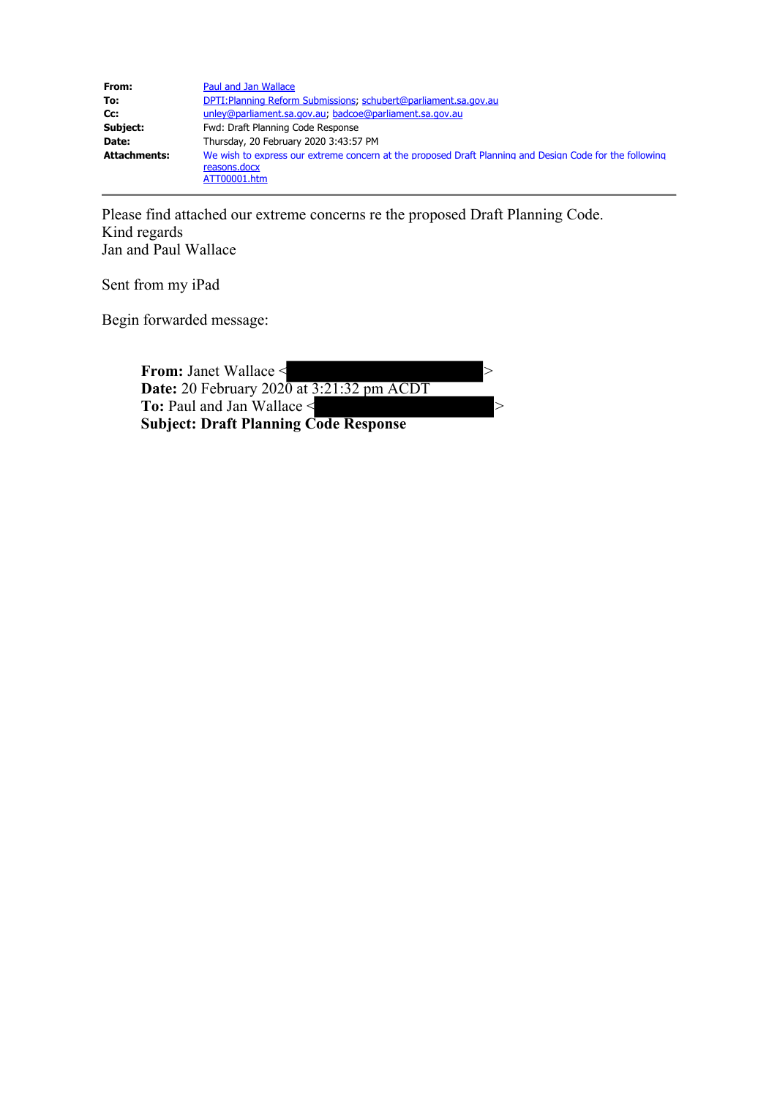| From:               | Paul and Jan Wallace                                                                                    |
|---------------------|---------------------------------------------------------------------------------------------------------|
| To:                 | DPTI: Planning Reform Submissions; schubert@parliament.sa.gov.au                                        |
| Cc:                 | unley@parliament.sa.gov.au, badcoe@parliament.sa.gov.au                                                 |
| Subject:            | Fwd: Draft Planning Code Response                                                                       |
| Date:               | Thursday, 20 February 2020 3:43:57 PM                                                                   |
| <b>Attachments:</b> | We wish to express our extreme concern at the proposed Draft Planning and Design Code for the following |
|                     | reasons.docx                                                                                            |
|                     | ATT00001.htm                                                                                            |

Please find attached our extreme concerns re the proposed Draft Planning Code. Kind regards Jan and Paul Wallace

Sent from my iPad

Begin forwarded message:

| <b>From: Janet Wallace &lt;</b>                      |  |
|------------------------------------------------------|--|
| <b>Date:</b> 20 February $2020$ at $3:21:32$ pm ACDT |  |
| To: Paul and Jan Wallace <                           |  |
| <b>Subject: Draft Planning Code Response</b>         |  |